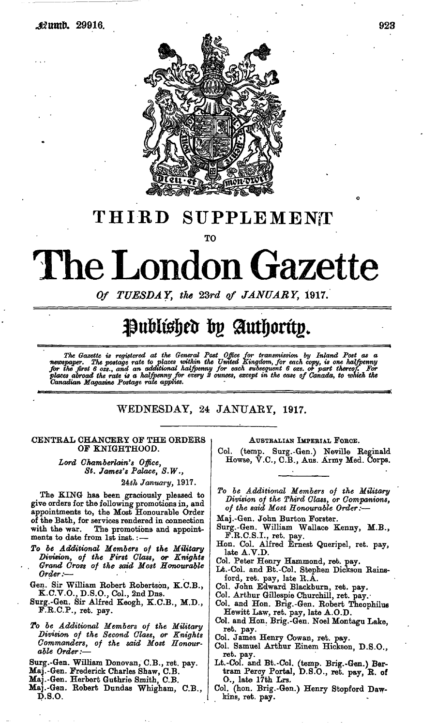

## THIRD SUPPLEMENT

TO

# The London Gazette

*Of TUESDAY, the 23rd of JANUARY,* 1917.

# Published by Authority.

The Gazette is registered at the General Post Office for transmission by Inland Post as a<br>newspaper. The postage rate to places within the United Kingdom, for each copy, is one halfpenny<br>for the first 6 ozs., and an additi

### WEDNESDAY, 24 JANUARY, 1917.

#### CENTRAL CHANCERY OF THE ORDERS OF KNIGHTHOOD.

*Lord Chamberlain's Office, St. James's Palace, S.W.,*

24£/j *January,* 1917.

The KING has been graciously pleased to give orders for the following promotions in, and appointments to, the Most Honourable Order of the Bath, for services rendered in connection with the war. The promotions and appointments to date from 1st inst.: —

- *To be Additional Members of the Military Division, of the First Glass, or Knights , Grand Cross of the said Most Honourable Order:*—
- Gen. Sir William Robert Robertson, K.C.B., K.C.V.O., D.S.O., Col., 2nd Dns.
- Surg.-Gen. Sir Alfred Keogh, K.C.B., M.D., F.R.C.P., ret. pay.
- *To be Additional Members of the Military Division of the Second Class, or Knights Commanders, of the said Most Honourable Order:*—
- Surg.-Gen. William Donovan, C.B., ret. pay.
- Maj.-Gen. Frederick Charles Shaw, C.B.
- Maj.-Gen. Herbert Guthrie Smith, C.B.
- Mai.-Gen. Robert Dundas Whigham, C.B., D.S.O.

#### AUSTRALIAN IMPERIAL FORCE.

Col. (temp. Surg.-Gen.) Neville Reginald Howse, V.C., C.B., Aus. Army Med. Corps.

*To be Additional Members of the Division of the Third Class, or Companions, of the said Most Honourable Order:*—

- Maj.-Gen. John Burton Forster.
- Surg.-Gen. William Wallace Kenny, M.B., F.R.C.S.I., ret. pay.
- Hon. Col. Alfred Ernest Queripel, ret. pay, late A.V.D.
- Col. Peter Henry Hammond, ret. pay.
- Lt.-Col. and Bt.-Col. Stephen Dickson Rainsford, ret. pay, late R.A.
- Col. John Edward Blackburn, ret. pay.
- Col. Arthur Gillespie Churchill, ret. pay.
- Col. and Hon. Brig.-Gen. Robert Theophilue Hewitt Law, ret. pay, late A.O.D.
- Col. and Hon. Brig.-Gen. Noel Montagu Lake, ret. pay.
- Col. James Henry Cowan, ret. pay.
- Col. Samuel Arthur Einem Hickson, D.S.O., ret. pay.
- Lt.-Col. and Bt.-Col. (temp. Brig.-Gen.) Bertram Percy Portal, D.S.O., ret. pay, R. of O., late 17th Lrs.
- Col. (hon. Brig.-Gen.) Henry Stopford Dawkins, ret. pay.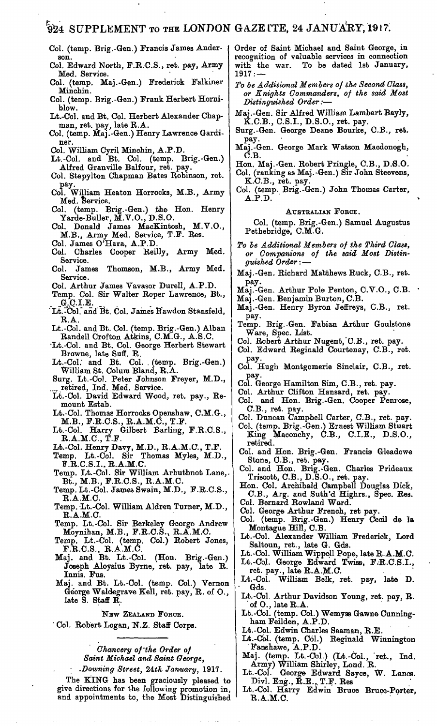## 924 SUPPLEMENT TO THE LONDON GAZETTE, 24 JANUARY, 1917.

- Col. (temp. Brig.-Gen.) Francis James Anderson.
- Col. Edward North, F.R.C.S., ret. pay, Army Med. Service.
- Col. (temp. Maj.-Gen.) Frederick F'alkiner Minchin.
- Col. (temp. Brig.-Gen.) Frank Herbert Horniblow.
- Lt.-Col. and Bt. Col. Herbert Alexander Chapman, ret. pay, late R.A.
- Col. (temp. Maj.-Gen.) Henry Lawrence Gardiner.
- Col. William Cyril Minchin, A.P.D.
- Lt.-Col. and Bt. Col. (temp. Brig.-Gen.) Alfred Granville Balfour, ret. pay.
- Col. Stapylton Chapman Bates Robinson, ret. pay.
- Col. William Heaton Horrocks, M.B., Army Med. Service.
- Col. (temp. Brig.-Gen.) the Hon. Henry Yarde-Buller, M.V.O., D.S.O.
- Col. Donald James MacKintosh, M.V.O., M.B., Army Med. Service, T.F. Res.
- Col. James O'Hara, A.P.D.
- Col. Charles Cooper Reilly, Army Med. Service.
- Col. James Thomson, M.B., Army Med. Service.
- Col. Arthur James Vavasor Durell, A.P.D.
- Temp. Col. Sir Walter Roper Lawrence, Bt.,
- Lt.<sup>-</sup>Col. and Bt. Col. James Rawdon Stansfeld, R.A.
- Lt.-Col. and Bt. Col. (temp. Brig.-Gen.) Alban Randell Crofton Atkins, C.M.G., A.S.C.
- •Lt.-Col. and Bt. Col. George Herbert Stewart Browne, late Suff. R.
- Lt.-Col. and Bt. Col. (temp. Brig.-Gen.) William St. Colum Bland, R.A.
- Surg. Lt.-Col. Peter Johnson Freyer, M.D., retired, Ind. Med. Service.
- Lt.-Cbl. David Edward Wood, ret. pay., Remount Estab.
- Lt.-Col. Thomas Horrocks Openshaw, C.M.G., M.B., F.R.C.S., R.A.M.C., T.F.
- Lt.-Col. Harry Gilbert Barling, F.R.C.S.,  $\mathbf{R}.\mathbf{A}.\mathbf{M}.\mathbf{C}.,\ \mathbf{T}.\mathbf{F}$
- Lt.-Coi. Henry Davy, M.D., R.A.M.C., T.F.
- Temp. Lt.-Col. Sir Thomas Myles, M.D., F.R.C.S.I.. R.A.M.C.
- Temp. Lt.-Col. Sir William Arbuthnot Lane,. Bt., M.B., F.R.C.S., R.A.M.C.
- Temp. Lt.-Col. James Swain, M.D., F.R.C.S., R.A.M.C.
- Temp. Lt.-Col. William Aldren Turner, M.D., R.A.M.C.
- Temp. Lt.-Col. Sir Berkeley George Andrew Moynihan, M.B., F.R.C.S., R.A.M.O.
- Temp. Lt.-Col. (temp. Col.) Robert Jones, F.R.C.S., R.A.M.C.
- Maj. and Bt. Lt.-Col. (Hon. Brig.-Gen.) Joseph Aloysius Byrne, ret. pay, late R. Innis. Fus.
- Maj. and Bt. Lt.-Col. (temp. Col.) Vernon George Waldegrave Kell, ret. pay, R. of O., late S. Staff R.

#### NEW ZEALAND FORCE.

' Col. Robert Logan, N.Z. Staff Corps.

*Chancery of'the Order of Saint Michael and Saint George,*

*Downing Street,* 24th January, 1917.

The KING has been graciously pleased to give directions for the following promotion in, and appointments to, the Most Distinguished

Order of Saint Michael and Saint George, in recognition of valuable services in connection with the war. To be dated 1st January, 1917: —

- *To be Additional Members of the Second Class, or Knights Commanders, of the said Most Distinguished Order:*—
- Maj.-Gen. Sir Alfred William Lambart Bayly, K.C.B., C.S.I., D.S.O., ret. pay.
- Surg.-Gen. George Deane Bourke, C.B., ret. pay.
- Maj.-Gen. George Mark Watson Macdonogh,  $\check{\mathrm{C}}$ .B.
- Hon. Maj.-Gen. Robert Pringle, C.B., D.S.O. Col. (ranking as Maj.-Gen.) Sir John Steevens, K.C.B., ret. pay.
- Col. (temp. Brig.-Gen.) John Thomas Carter, A.P.D.

#### AUSTRALIAN FORCE.

Col. (temp. Brig.-Gen.) Samuel Augustus Pethebridge, C.M.G.

- *To be Additional Members of the Third Class, or Companions of the said Most Distinguished Order*: —
- Maj.-Gen. Richard Matthews Ruck, C.B., ret. pay.
- Maj.-Gen. Arthur Pole Penton, C.V.O., C.B. •
- Maj.-Gen. Benjamin Burton, C.B.
- Maj.-Gen. Henry Byron Jeffreys, C.B., ret. pay-
- Temp. Brig.-Gen. Fabian Arthur Goulstone Ware, Spec. List.
- Col. Robert Arthur Nugent, C.B., ret. pay.
- Col. Edward Reginald Courtenay, C.B., ret. pay-
- Col. Hugh Montgomerie Sinclair, C.B., ret. pay.
- Col. George Hamilton Sim, C.B., ret. pay.
- Col. Arthur Clifton Hansard, ret. pay.
- Col. and Hon. Brig.-Gen. Cooper Penrose, C.B., ret. pay.
- Col. Duncan Campbell Carter, C.B., ret. pay. CoL. (temp. Brig.-Gen.) Ernest William Stuart King Maconchy, C.B., C.I.E., D.S.O., retired.
- Col. and Hon. Brig.-Gen. Francis Gleadowe Stone, C.B., ret. pay.
- Col. and Hon. Brig.-Gen. Charles Prideaux Triscott, C.B., D.S.O., ret. pay.
- Hon. Col. Archibald Campbell Douglas Dick, C.B., Arg. and Suth'd Highrs., Spec. Res. Col. Bernard Rowland Ward.
- Col. George Arthur French, ret pay.
- Col. (temp. Brig.-Gen.) Henry Cecil de la Montague Hill, C.B.
- Lt.-Col. Alexander William Frederick, Lord Saltoun, ret., late G. Gds.
- Lt.-Col. William Wippell Pope, late R.A.M.C.
- Lt.-Col. George Edward Twiss, F.R.C.S.I., ret. pay., late R.A.M.C.
- Lt.-Col. William Belk, ret. pay, late D. Gds.
- Lt.-Col. Arthur Davidson Young, ret. pay, R. of O., late R.A.
- Lt.-Col. (temp. Col.) Wemyss Gawne Cunningham Feilden, A.P.D.
- Lt.-Col. Edwin Charles Seaman, R.E.
- Lt.-Col. (temp. Col.) Reginald Winnington Fanshawe, A.P.D.
- Maj. (temp. Lt.-Col.) (Lt.-Col., 'ret., Ind. Army) William Shirley, Lond. R.
- Lt.-Col. George Edward Sayce, W. Lanes. Divl. Eng., R.E., T.F. Res
- Lt.-Col. Harry Edwin Bruce Bruce-Porter, R.A.M.C.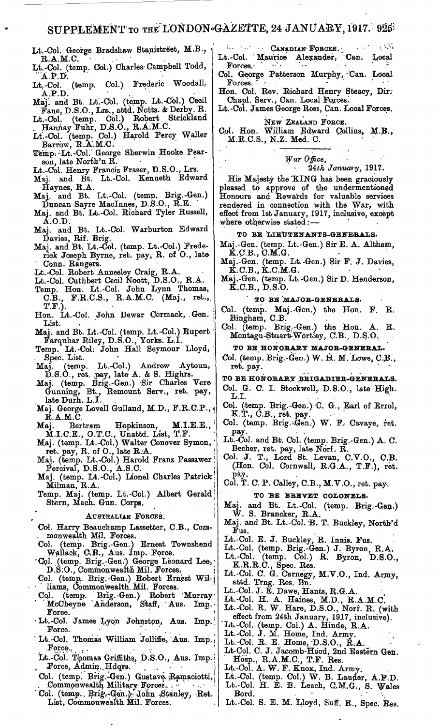Lt.-Col. George Bradshaw Stanistreet, M.B., B.A.M.C. .

Lt.-Col. (temp. Col.) Charles Campbell Todd, "A.P.D.

Lt.-Col. (temp. Col.) Frederic WoodalL  $\mathbf{A} \cdot \mathbf{P} \cdot \mathbf{D}$ .

- Maj: and Bt. Lt:-Col. (temp. Lt.-Col.) Cecil Fane, D.S.O., Lre., attd. Notts. & Derby. K.
- Lt.-Col. (temp. Col.) Robert Strickland Hannay Fuhr, D.S.O., R.A.M.C.
- Lt.-Col. (temp. Col.) Harold Percy Waller Barrow, R.A.M.C.
- Temp. Lt.-Col. George Sherwin Hooke Pearson, late North'n B.
- Lt.-Col. Henry Francis Fraser, D.S.O., Lrs.
- Maj. and Bt. Lt.-Col. Kenneth Edward Haynes, B.A.
- Maj. and Bt. Lt.-Col. (temp. Brig.-Gen.) Duncan Sayre Maclnnes, D.S.O., B.E.
- Maj. and Bt. Lt.-Col. Eichard Tyler Bussell, A.O.D.
- Maj. and Bt. Lt.-Col. Warburton Edward Davies, Bif. Brig.
- Maj. and Bt. Lt.-Col. (temp. Lt.-Col.) Frederick Joseph Byrne, ret. pay, R. of O., late Conn. Bangers.
- •Lt.-Col. Bobert Annesley Craig, B.A.
- Lt.-Col. Cuthbert Cecil Noott, D.S.O., B.A.
- Temp. Hon. Lt.-Col. John Lynn Thomas, C.B., F.R.C.S., R.A.M.C. (Maj., ret., T.F.).
- Hon. Lt.-Col. John Dewar Cormack, .Gen. List.
- Maj. and Bt. Lt.-Col. (temp. Lt.-Col.) Bupert ' Farquhar Biley, D.S.O., Yorks. L.I.
- Temp. Lt.-CoL John Hall Seymour Lloyd, ' Spec. List.
- Maj. (temp. Lt.-Col.) Andrew Aytoun,  $D.S.O.,$  ret. .pay, late  $A.$  & S. Highrs.
- Maj. (temp. Brig.-Gen.) Sir Charles Vere Gunning, Bt., Bemount Serv., ret. pay, late Durh. L.I.
- Maj. George Lovell Gulland, M.D., F.R.C.P., B.A.M.C.
- Maj. Bertram Hopkinson, M.I.E.E., ' M.I.C.E., O.T.C., Unattd. List, T.F.
- Maj. (temp. Lt.-Col.) Walter Conover Symon,' ret. pay, B. of 0., late B.A.
- Maj. (temp. Lt.-Col.) Harold Franz Passawer; Percival, D.S.O., A.S.C.
- Maj. (temp. Lt.-Col.) Lionel Charles Patrick Milman, B.A.
- Temp. Maj. (temp. Lt.-Gol.) Albert Gerald; Stern, Mach. Gun. Corps.

AUSTRALIAN FORCES.

- Col. Harry Beauchamp Lassetter, C.B., Com- . .monwealth Mil. Forces.
- Col. (temp. Brig.-Gen.) Ernest Townshend Wallack, C.B., Aus. Imp. Force.
- 'Col", (temp. Brig.-Gen.) George Leonard Lee, D.S.O., Commonwealth Mil. Forces.
- Col. (temp. Brig.-Gen.) Robert Ernest Williams, Commonwealth.Mil. Forces.
- Col. (temp. Brig.-Gen.) Robert Murray McCheyne Anderson, S'taff, Aus. Imp. Force.
- Lt.-Col. James Lyon Johnston, Aus. Imp. Force.
- Lt.-Col. Thomas William Jolliffe, Aus. Imp. Force.,
- Lt.-Coi. Thomas Griffiths,. D.S.O., Aus. Imp. Force, Admin. Hdqrs.
- Col. (temp. Brig.-Gen.) Gustave, Ramaciotti, . Commonwealth Military Forces.
- 'Col. (temp., Brig.-Gen.)- John Stanley, Ret. List, Commonwealth Mil. Forces.
- **•'•- CANADIAlf FORCES.; " '."\*-> -t** Lt.-Col. ' Maurice Alexander, Can: Local Forces.
- Col. George Patterson Murphy, Can. Local Forces.  $\frac{1}{2}$   $\cdots$   $\frac{1}{2}$   $\cdots$   $\cdots$   $\cdots$
- Hon. Col. Bev. Bichard Henry Steacy, Dir; Chapl. Serv., Can. Local Forces.
- Lt.-Col. James George Boss, Can. Local Forces.

NEW ZEALAND FORCE.

Col. Hon. William Edward Collins, M.B., M.B.C.S., N.Z. Med. C.

#### *War Office, 2&th January,* 1917.

His Majesty the 'KING has been graciously pleased to approve of the undermentioned Honours and Rewards for valuable services rendered in connection with the War, with effect from 1st January, 1917, inclusive, except where otherwise stated: —

#### TO BE LIEUTENANTS-GENEBALS.

- Maj.-Gen. (temp. Lt.-Gen.) Sir E. A. Altham, K.C.B., C.M.G.
- Maj.-Gen. (temp. Lt.-Gen.) Sir F. J. Davies,  $\check{\mathbf{K}}$ .C.B.,  $\check{\mathbf{K}}$ .C. $\mathbf{\check{M}}$ .G.
- Maj.-Gen. (temp. Lt.-Gen.) SirD. Henderson, K.C.B., D.S.O.

**TO BE MAJOB-GENEBALS.**

- Col. (temp. Maj.-Gen.) the Hon. F. B. Bingham, C.B.
- Col. (temp. Brig.-Gen.) the Hon. A. B. Montagu-Stuart-Wortley, C.B., D.S.O.

**TO BE HONORARY MAJOB-GENEBAL.**

- Col. (temp. Brig.-Gen.) W. H. M. Lowe, C.B., ret. pay.
- TO BE HONORARY BRIGADIER-GENERALS.
- Col. G. C. I. Stockwell, D.S.O., late High.<br>L.I.
- Col. (temp. Brig.-Gen.) C. G., Earl of Errol,  $K.T., C.B., ret. pay.$
- Col. (temp. Brig.-Gen.) W. F. Cavaye, ret. pay.
- Lt.-Col. and Bt. Col. (temp. Brig.-Gen.) A. C. Becher, ret. pay, late Norf. B.
- Col. J. T., Lord St. Levan, C.V.O., C.B. (Hon. Col. Cornwall, B.G.A., T.F.), ret. pay.

Col. T. C. P. Calley, C'.B.j M.V.O., ret. pay.

TO BE BBEVET COLONELS.

- Maj. and Bt. Lt.-Col. (temp. Brig.-Gen.) W. S. Brancker, B.A.
- Maj. and Bt. Lt.-Col. B. T. Buckley, North'd Fus.
- Lt.-Col. E. J. Buckley, R. Innis. Fus.
- Lt.-Col. (temp. Brig.-Gen.) J. Byron, R.A.<br>Lt.-Col. (temp. Col.) R. Byron, D.S.O.
- Lt.-Col. (temp. Col.) R. Byron, D.S.O., K.B.B.C., Spec. Bes.
- Lt.-Col. C. G. Carnegy, M.V.O., Ind. Army, attd. Trng. Bes. Bn.
- Lt.-Col. J. E. Dawe, Hants, B.G.A.
- Lt.-Col. H. A. Haines, M.D., R.A.M.C.
- Lt.-Col. B. W. Hare, D.S.O., Norf. B. (with effect from 24th January, 1917, inclusive).
- Lt.-Col. (temp. Col.) A. Hinde, R.A.
- Lt.-Col. J. M. Home, Ind. Army.
- Lt.-Col. B. E. Home,'D.S.O., B.A.
- Lt-Col. C. J. Jacomb-Hood, 2nd Eastern Gen. Hosp., B.A.M.C., T.F. Bes.
- Lt.-Col. A. W. F. Knox, Ind. Army.
- Lt.-Col. (temp. Col.) W. B. Lauder, A.P.D. Lt.-Col. H. E. B. Leach, C.M.G., S. Wales Bord.
- Bord.<br>Lt.-Col. S. E. M. Lloyd, Suff. R., Spec. Res.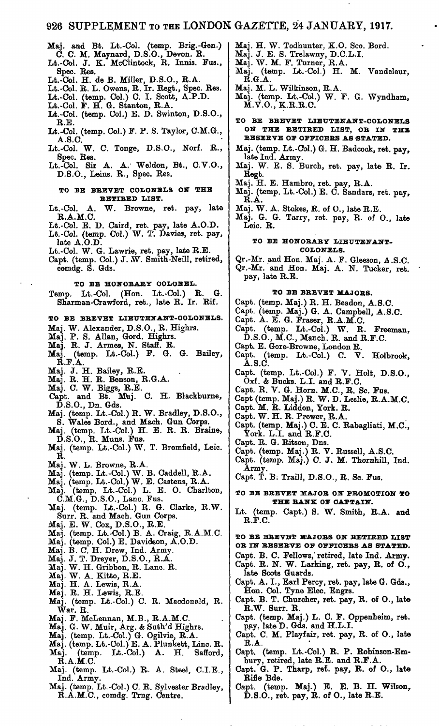Maj. and Bt. Lt.-Col. (temp. Brig.-Gen.) C. C. M. Maynard, D.S.O., Devon. R.

Lt.-Col. J. K. McClintock, R. Innis. Fus., Spec. Res.

Lt.-Col. H. de B. Miller, D.S.O., R.A.

Lt.-Col. R. L. Owens, R. Ir. Regt., Spec. Res.

Lt.-Col. (temp. Col.) C. I. Scott, A.P.D.

- Lt.-Col. F. H. G. Stanton, R.A.
- Lt.-Col. (temp. Col.) E. D. Swinton, D.S.O., R.E.
- Lt.-Col. (temp. Col.) F. P. S. Taylor, C.M.G., A.S.C.
- Lt.-Col. W. C. Tonge, D.S.O., Norf. R., Spec. Res.
- Lt.-Col. Sir A. A. Weldon, Bt., C.V.O., D.S.O., Leins. R., Spec. Res.

#### **TO BE BREVET COLONELS ON THE RETIRED LIST.**

Lt.-Col. A. W. Browne, ret. pay, late R.A.M.C.

- Lt.-Col. E. D. Caird, ret. pay, late A.O.D.
- Lt.-Col. (temp. Col.) W. T. Davies, ret. pay, late A.O.D.
- Lt.-Col. W. G. Lawrie, ret. pay, late R.E.
- Capt. (temp. Col.) J. W. Smith-Neill, retired, comdg. S. Gds.

**TO BE HONORARY COLONEL.**

Temp. Lt.-Col. (Hon. Lt.-Col.) R. G. Sharman-Crawford, ret., late R. Ir. Rif.

#### **TO BE BREVET LIEUTENANT-COLONELS.**

- Maj. W. Alexander, D.S.O., R. Highrs.
- Maj. P. S. Allan, Gord. Highrs.
- Maj. R. J. Armes, N. Staff. R.
- Maj. (temp. Lt.-Col.) F. G. G. Bailey,  $\mathbf{\check{R}}.\mathbf{F}.\mathbf{\check{A}}.$
- Maj. J. H. Bailey, R.E.
- Maj. R. H. R. Benson, R.G.A.
- Maj. C. W. Biggs, R.E.
- Capt. and Bt. Maj. C. H. Blackburne, D.S.O., Dn. Gds.
- Maj. (temp. Lt.-Col.) R. W. Bradley, D.S.O., S. Wales Bord., and Mach. Gun Corps.
- Maj. (temp. Lt.-Col.) H. E. R. R. Braine, D.S.O., R. Muns. Fus.
- Maj. (temp. Lt.-Col.) W. T. Bromfield, Leic. R.
- Maj. W. L. Browne, R.A.
- Maj. (temp. Lt.-Col.) W. B. Caddell, R.A.
- Maj. (temp. Lt.-Col.) W. E. Castens, R.A.
- Maj. (temp. Lt.-Col.) L. E. O. Charlton, C.M.G., D.S.O., Lane. Fus.
- Maj. (temp. Lt.-Col.) R. G. Clarke, R.W. Surr. R. and Mach. Gun Corps.
- Maj. E. W. Cox, D.S.O., R.E.
- Maj. (temp. Lt.-Col.) B. A. Craig, R.A.M.C.
- Maj. (temp. Col.) E. Davidson, A.O.D.
- Maj. B. C. H. Drew, Ind. Army.
- Maj. J. T. Dreyer, D.S.O., R.A.
- Maj. W. H. Gribbon, R. Lane. R.
- Maj. W. A. Kitto, R.E.
- Maj. H. A. Lewis, R.A.
- Maj. R. H. Lewis, R.E.
- Maj. (temp. Lt.-Col.) C. R. Macdonald, R. War. R.
- Maj. F. McLennan, M.B., R.A.M.C.
- Maj. G. W. Muir, Arg. & Suth'd Highrs.
- Maj. (temp. Lt.-Col.) G. Ogilvie, R.A.
- Maj. (temp. Lt.-Col.) E. A. Plunkett, Line. R. Maj. (temp. Lt.-Col.) A. H. Safford,  $\mathbf{R}$ . A.M.C.
- Maj. (temp. Lt.-Col.) R. A. Steel, C.I.E., Ind. Army.
- Maj. (temp. Lt.-Col.) C. R. Sylvester Bradley, R.A.M.C., comdg. Trng. Centre.
- Maj. H. W. Todhunter, K.O. Sco. Bord.
- Maj. J. E. S. Trelawny, D.C.L.I.
- Maj. W. M. F. Turner, R.A.
- Maj. (temp. Lt.-Col.) H. M. Vandeleur,  $\mathbf{R}.\mathbf{G}.\mathbf{A}.$
- Maj. M. L. Wilkinson, R.A.
- Maj. (temp. Lt.-Col.) W. F. G. Wyndham,  $\mathbf{M}.\mathbf{V}.O.,\mathbf{K}.\mathbf{R}.\mathbf{R}.\mathbf{C}.$
- **TO BE BREVET LIEUTENANT-COLONELS ON THE RETIRED LIST, OR IN THE RESERVE OF OFFICERS AS STATED.**
- Maj. (temp. Lt.-Col.) G. H. Badcock, ret. pay, late Ind. Army.
- Maj. W. E. S. Burch, ret. pay, late R. Ir. Regt.
- Maj. H. E. Hambro, ret. pay, R.A.
- Maj. (temp. Lt.-Col.) E. C. Sandars, ret. pay,  $\ddot{\textbf{R}}.\dot{\textbf{A}}.$
- Maj. W. A. Stokes, R. of O., late R.E.
- Maj. G. G. Tarry, ret. pay, R. of O., late Leio. R.

#### **TO BE HONORARY LIEUTENANT-COLONELS.**

Qr.-Mr. and Hon. Maj. A. F. Gleeson, A.S.C. Qr.-Mr. and Hon. Maj. A. N. Tucker, ret. pay, late R.E.

#### TO BE BREVET MAJORS.

Capt. (temp. Maj.) R. H. Beadon, A.S.C.

- Capt. (temp. Maj.) G. A. Campbell, A.S.C.
- Capt. A. E. G. Fraser, R.A.M.C.
- Capt. (temp. Lt.-Col.) W. R. Freeman, D.S.O., M.C., Manch. R. and R.F.C.
- 
- Capt. E. Gore-Browne, London R. Capt. (temp. Lt.-Col.) C. A.S.C.
- Capt. (temp. Lt.-Col.) F. V. Holt, D.S.O., Oxf. & Bucks. L.I. and R.F.C.
- Capt. R. V. G. Horn. M.C., R. Sc. Fus.
- Capt (temp. Maj.) R. W. D. Leslie, R.A.M.C.
- Capt. M. R. Liddon, York. R.
- Capt. W. H. R. Prewer, R.A.
- Capt. (temp. Maj.) C. E. C. Rabagliati, M.C., York. L.I. and R.F.C.
- Capt. R. G. Ritson, Dns.
- Capt. (temp. Maj.) R. V. Russell, A.S.C.
- Capt. (temp. Maj.) C. J. M. Thornhill, Ind. Army.
- Capt. T. B: Traill, D.S.O., R. Sc. Fus.

**TO BE BREVET MAJOR ON PROMOTION TO** THE RANK OF CAPTAIN.

Lt. (temp. Capt.) S. W. Smith, R.A. and R.F.C.

TO BE BREVET MAJORS ON RETIRED LIST OR IN RESERVE OF OFFICERS AS STATED.

- Capt. B. C. Fellows,'retired, late Ind. Army. Capt. R. N. W. Larking, ret. pay, R. of O., late Scots Guards.
- Capt. A. I., Earl Percy, ret. pay, late G. Gds., Hon. Col. Tyne Elec. Engrs.
- Capt. B. T. Churcher, ret. pay, R. of O., late R.W. Surr. R.
- Capt. (temp. Maj.) L. C. F. Oppenheim, ret. pay, late D. Gds. and H.L.I.
- Capt. C. M. Playfair, ret. pay, R. of O., late R.A.
- Capt. (temp. Lt.-Col.) R. P. Robinson-Embury, retired, late R.E. and R.F.A.
- Capt. G. P. Tharp, ret. pay, R. of O., late Rifle Bde.
- Capt. (temp. Maj.) E. E. B. H. Wilson, D.S.O., ret. pay, R. of O., late R.E.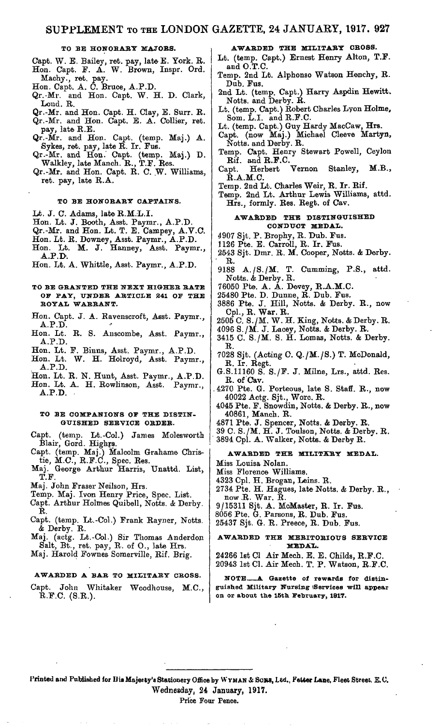#### **TO BE HONORARY MAJORS.**

- Capt. W. E. Bailey, ret. pay, late E. York. R. Hon. Capt. F. A. W. Brown, Inspr. Ord. Machy., ret. pay.
- Hon. Capt. A. C. Bruce, A.P.D.
- Qr.-Mv. and Hon. Capt. W. H. D. Clark, Loud. R.
- Qr.-Mr. and Hon. C'apt. H. Clay, E. Surr. R. Qr.-Mr. and Hon. Capt. E. A. Collier, ret. pay, late R.E.
- Qr.-Mr. and Hon. Capt. (temp. Maj.) A. Sykes, ret. pay, late  $\vec{R}$ . Ir. Fus.
- Qr.-Mr. and Hon. C'apt. (temp. Maj.) D. Walkley, late Manch. R., T.F. Res.
- Qr.-Mr. and Hon. Capt. R. C. W. Williams, ret. pay, late R.A.

#### **TO BE HONORARY CAPTAINS.**

- Lt. J. C. Adams, late R.M.L.I.
- Hon. Lt. J. Booth, Asst. Paymr., A.P.D.
- Qr.-Mr. and Hon. Lt. T. E. Campey, A.V.C,
- Hon. Lt. R. Downey, Asst. Paymr., A.P.D.
- Hon. Lt. M. J. Hanney, Asst. Paymr., A.P.D.
- Hon. Lt. A. Whittle, Asst. Paymr., A.P.D.

#### **TO BE GRANTED THE NEXT HIGHER RATE OF PAY, UNDER ARTICLE 241 OF THE ROYAL WARRANT.**

- Hon. Capt. J. A. Ravenscroft, Asst. Paymr., A.P.D.
- Hon. Lt. R. S. Anscombe, Asst. Paymr., A.P.D.
- Hon. Lt. F. Binns, Asst. Paymr., A.P.D.
- Hon. Lt. W. H. Holroyd, Asst. Paymr.,
- **A.P.D.** Hon. Lt. R. N. Hunt, Asst. Paymr., A.P.D.
- Hon. Lt. A. H. Rowlinson, Asst. Paymr., **A.P.D.**

#### **TO BE COMPANIONS OF THE DISTIN-GUISHED SERVICE ORDER.**

- Capt. (temp. Lt.-Col.) James Molesworth apt. (temp. Lt.-Col.<br>Blair, Gord. Highrs.
- Capt. (temp. Maj.) Malcolm Grahame Christie, M.O., R.F.C., Spec. Res.
- Maj. George Arthur Harris, Unattd. List) T.F.
- Maj. John Fraser Neilson, Hrs.
- Temp. Maj. Ivon Henry Price, Spec. List.
- Capt. Arthur Holmes Quibell, Notts. *&* Derby. R.
- Capt. (temp. Lt.-Col.) Frank Rayner, Notts. & Derby. R.
- Maj.. (actg. Lt.-Col.) Sir Thomas Anderdon Salt, Bt., ret. pay, R. of O., late Hrs.
- Maj. Harold Fownes Somerville, Rif. Brig.

#### **AWARDED A BAR TO MILITARY CROSS.**

Capt. John Whitaker Woodhouse, M.C., R.F.C. (S.R.).

#### **AWARDED THE MILITARY CROSS.**

- Lt. (temp. Capt.) Ernest Henry Alton, T.F. and O.T.C.
- Temp. 2nd Lt. Alphonso Watson Henchy, R. Dub. Fus.
- 2nd Lt. (temp. Capt.) Harry Aspdin Hewitt. Notts, and Derby. R.
- Lt. (temp. Capt.) Robert Charles Lyon Holme, Som. L.I. and R.F.C.
- Lt. (temp. Capt.) Guy Hardy MacCaw, Hrs.
- Capt. (now Maj.) Michael C'leeve Martyn, Notts, and Derby. R.
- Temp. Capt. Henry Stewart Powell, Ceylon Rif. and R.F.C.<br>upt. Herbert
- Capt. Herbert Vernon Stanley, M.B., **R.A.M.C.**
- Temp. 2nd Lt. Charles Weir, R. Ir. Rif.
- Temp. 2nd Lt. Arthur Lewis Williams, attd. Hrs., formly. Res. Regt. of Cav.

#### **AWARDED THE DISTINGUISHED CONDUCT MEDAL.**

- 4907 Sjt. P. Brophy, R. Dub. Fus.
- 1126 Pte. E. Carroll, R. Ir. F'us.
- 2543 Sjt. Dmr. R. M. Cooper, Notts. & Derby. R.<br>9188
- A./S./M. T. Cumming, P.S., attd. Notts. & Derby. R.
- $76050$  Pte. A.  $\AA$ . Devey, R.A.M.C.
- 25480 Pte. D. Dunne, R. Dub. Fus.
- 3886 Pte. J. Hill, Notts. & Derby. R., now Cpl., R. War. R.
- 2505 C. S./M. W. H. King, Notts. & Derby. R.
- 4096 S./M. J. Lacey, Notts. & Derby. R.
- 3415 C. S./M. S. H. Lomas, Notts. & Derby. R.
- 7028 Sjt. (Acting C. Q./M./S.) T. McDonald, R. Ir. Regt.
- G.S.11160 S. S./F. J. Milne, Lrs., attd. Res. R. of Cav.
- . 4270 Pte. G. Porteous, late S. Staff. R., now 40022 Actg. Sjt., Wore. R.
- 4045 Pte. F. Snowdin, Notts. & Derby. R., now 40861, Manch. R.
- 4871 Pte. J. Spencer, Notts. & Derby. R.
- 39 C. S./M. H. J. Toulson, Notts. & Derby. R. 3894 Cpl. A. Walker, Notts. & Derby R.

#### **AWARDED THE MILITARY MEDAL.**

- Miss Louisa Nolan.
- Miss Florence Williams.
- 4323 Cpl. H. Brogan, Leins. R.
- 2734 Pte. H. Hagues, late Notts. & Derby. R., now  $\mathbf R$ . War.  $\breve{\mathbf R}$ .
- 9/15311 Sjt. A. McMaster, R. Ir. Fus.
- 8056 Pte. G. Parsons, R. Dub. Fus.
- 25437 Sjt. G. R. Preece, R. Dub. Fus.

#### **AWARDED THE MERITORIOUS SERVICE MEDAL.**

24266 1st Cl Air Mech. E. E. Childs, R.F.C.

20943 1st Cl. Air Mech. T. P. Watson, R.F.C. **NOTE—A Gazette of rewards for distin-**

guished Military Nursing Services will appear **on. or about the 15th. February, 1917.**

**Printed and Published for His Majesty'e Stationery Office by WYMAN & So»s, Ltd., Fetter Lane, Fleet Street. E.C.** Wednesday, 24 January, 1917.

Price Four Pence.